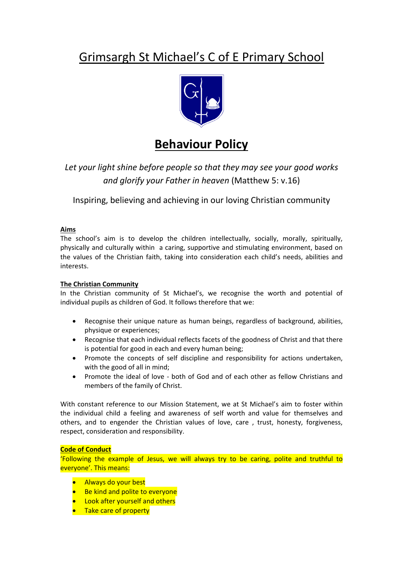# Grimsargh St Michael's C of E Primary School



## **Behaviour Policy**

*Let your light shine before people so that they may see your good works and glorify your Father in heaven* (Matthew 5: v.16)

Inspiring, believing and achieving in our loving Christian community

## **Aims**

The school's aim is to develop the children intellectually, socially, morally, spiritually, physically and culturally within a caring, supportive and stimulating environment, based on the values of the Christian faith, taking into consideration each child's needs, abilities and interests.

## **The Christian Community**

In the Christian community of St Michael's, we recognise the worth and potential of individual pupils as children of God. It follows therefore that we:

- Recognise their unique nature as human beings, regardless of background, abilities, physique or experiences;
- Recognise that each individual reflects facets of the goodness of Christ and that there is potential for good in each and every human being;
- Promote the concepts of self discipline and responsibility for actions undertaken, with the good of all in mind;
- Promote the ideal of love both of God and of each other as fellow Christians and members of the family of Christ.

With constant reference to our Mission Statement, we at St Michael's aim to foster within the individual child a feeling and awareness of self worth and value for themselves and others, and to engender the Christian values of love, care , trust, honesty, forgiveness, respect, consideration and responsibility.

## **Code of Conduct**

'Following the example of Jesus, we will always try to be caring, polite and truthful to everyone'. This means:

- Always do your best
- Be kind and polite to everyone
- **Look after yourself and others**
- Take care of property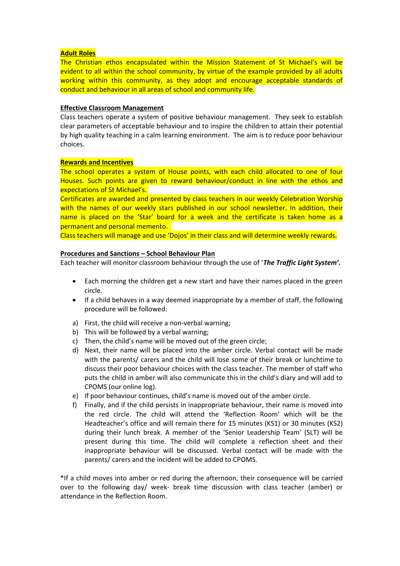#### **Adult Roles**

The Christian ethos encapsulated within the Mission Statement of St Michael's will be evident to all within the school community, by virtue of the example provided by all adults working within this community, as they adopt and encourage acceptable standards of conduct and behaviour in all areas of school and community life.

#### **Effective Classroom Management**

Class teachers operate a system of positive behaviour management. They seek to establish clear parameters of acceptable behaviour and to inspire the children to attain their potential by high quality teaching in a calm learning environment. The aim is to reduce poor behaviour choices.

#### **Rewards and Incentives**

The school operates a system of House points, with each child allocated to one of four Houses. Such points are given to reward behaviour/conduct in line with the ethos and expectations of St Michael's.

Certificates are awarded and presented by class teachers in our weekly Celebration Worship with the names of our weekly stars published in our school newsletter. In addition, their name is placed on the 'Star' board for a week and the certificate is taken home as a permanent and personal memento.

Class teachers will manage and use 'Dojos' in their class and will determine weekly rewards.

#### **Procedures and Sanctions – School Behaviour Plan**

Each teacher will monitor classroom behaviour through the use of '*The Traffic Light System'.*

- Each morning the children get a new start and have their names placed in the green circle.
- If a child behaves in a way deemed inappropriate by a member of staff, the following procedure will be followed:
- a) First, the child will receive a non-verbal warning;
- b) This will be followed by a verbal warning;
- c) Then, the child's name will be moved out of the green circle;
- d) Next, their name will be placed into the amber circle. Verbal contact will be made with the parents/ carers and the child will lose some of their break or lunchtime to discuss their poor behaviour choices with the class teacher. The member of staff who puts the child in amber will also communicate this in the child's diary and will add to CPOMS (our online log).
- e) If poor behaviour continues, child's name is moved out of the amber circle.
- f) Finally, and if the child persists in inappropriate behaviour, their name is moved into the red circle. The child will attend the 'Reflection Room' which will be the Headteacher's office and will remain there for 15 minutes (KS1) or 30 minutes (KS2) during their lunch break. A member of the 'Senior Leadership Team' (SLT) will be present during this time. The child will complete a reflection sheet and their inappropriate behaviour will be discussed. Verbal contact will be made with the parents/ carers and the incident will be added to CPOMS.

\*If a child moves into amber or red during the afternoon, their consequence will be carried over to the following day/ week- break time discussion with class teacher (amber) or attendance in the Reflection Room.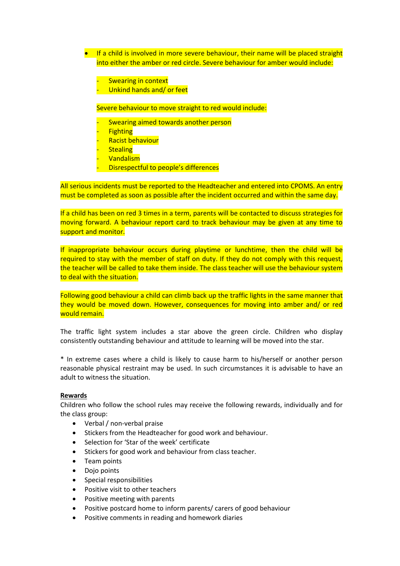- **If a child is involved in more severe behaviour, their name will be placed straight** into either the amber or red circle. Severe behaviour for amber would include:
	- **Swearing in context**
	- Unkind hands and/ or feet

Severe behaviour to move straight to red would include:

- Swearing aimed towards another person
- **Fighting**
- Racist behaviour
- **Stealing**
- **Vandalism**
- Disrespectful to people's differences

All serious incidents must be reported to the Headteacher and entered into CPOMS. An entry must be completed as soon as possible after the incident occurred and within the same day.

If a child has been on red 3 times in a term, parents will be contacted to discuss strategies for moving forward. A behaviour report card to track behaviour may be given at any time to support and monitor.

If inappropriate behaviour occurs during playtime or lunchtime, then the child will be required to stay with the member of staff on duty. If they do not comply with this request, the teacher will be called to take them inside. The class teacher will use the behaviour system to deal with the situation.

Following good behaviour a child can climb back up the traffic lights in the same manner that they would be moved down. However, consequences for moving into amber and/ or red would remain.

The traffic light system includes a star above the green circle. Children who display consistently outstanding behaviour and attitude to learning will be moved into the star.

\* In extreme cases where a child is likely to cause harm to his/herself or another person reasonable physical restraint may be used. In such circumstances it is advisable to have an adult to witness the situation.

#### **Rewards**

Children who follow the school rules may receive the following rewards, individually and for the class group:

- Verbal / non-verbal praise
- Stickers from the Headteacher for good work and behaviour.
- Selection for 'Star of the week' certificate
- Stickers for good work and behaviour from class teacher.
- Team points
- Dojo points
- Special responsibilities
- Positive visit to other teachers
- Positive meeting with parents
- Positive postcard home to inform parents/ carers of good behaviour
- Positive comments in reading and homework diaries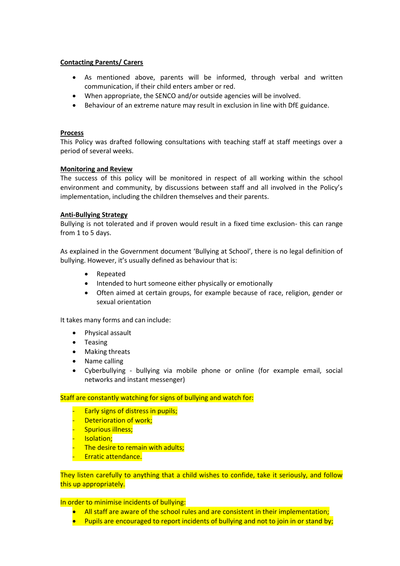### **Contacting Parents/ Carers**

- As mentioned above, parents will be informed, through verbal and written communication, if their child enters amber or red.
- When appropriate, the SENCO and/or outside agencies will be involved.
- Behaviour of an extreme nature may result in exclusion in line with DfE guidance.

#### **Process**

This Policy was drafted following consultations with teaching staff at staff meetings over a period of several weeks.

#### **Monitoring and Review**

The success of this policy will be monitored in respect of all working within the school environment and community, by discussions between staff and all involved in the Policy's implementation, including the children themselves and their parents.

#### **Anti-Bullying Strategy**

Bullying is not tolerated and if proven would result in a fixed time exclusion- this can range from 1 to 5 days.

As explained in the Government document 'Bullying at School', there is no legal definition of bullying. However, it's usually defined as behaviour that is:

- Repeated
- Intended to hurt someone either physically or emotionally
- Often aimed at certain groups, for example because of race, religion, gender or sexual orientation

It takes many forms and can include:

- Physical assault
- Teasing
- Making threats
- Name calling
- Cyberbullying bullying via mobile phone or online (for example email, social networks and instant messenger)

#### Staff are constantly watching for signs of bullying and watch for:

- Early signs of distress in pupils;
- Deterioration of work;
- Spurious illness;
- **Isolation;**
- The desire to remain with adults;
- Erratic attendance.

They listen carefully to anything that a child wishes to confide, take it seriously, and follow this up appropriately.

#### In order to minimise incidents of bullying:

- All staff are aware of the school rules and are consistent in their implementation;
- **Pupils are encouraged to report incidents of bullying and not to join in or stand by;**